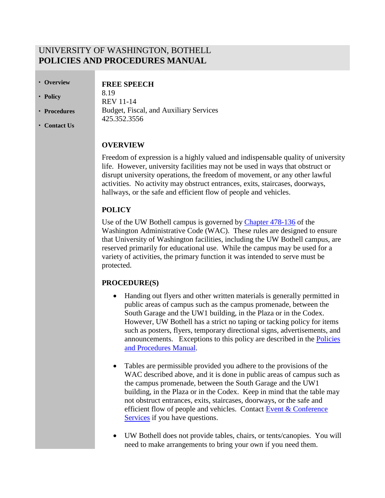# UNIVERSITY OF WASHINGTON, BOTHELL **POLICIES AND PROCEDURES MANUAL**

**Overview**

#### **FREE SPEECH**

- **Policy**
- **Procedures**
- **Contact Us**

8.19 REV 11-14 Budget, Fiscal, and Auxiliary Services 425.352.3556

# **OVERVIEW**

Freedom of expression is a highly valued and indispensable quality of university life. However, university facilities may not be used in ways that obstruct or disrupt university operations, the freedom of movement, or any other lawful activities. No activity may obstruct entrances, exits, staircases, doorways, hallways, or the safe and efficient flow of people and vehicles.

## **POLICY**

Use of the UW Bothell campus is governed by [Chapter 478-136](http://apps.leg.wa.gov/wac/default.aspx?cite=478-136) of the Washington Administrative Code (WAC). These rules are designed to ensure that University of Washington facilities, including the UW Bothell campus, are reserved primarily for educational use. While the campus may be used for a variety of activities, the primary function it was intended to serve must be protected.

#### **PROCEDURE(S)**

- Handing out flyers and other written materials is generally permitted in public areas of campus such as the campus promenade, between the South Garage and the UW1 building, in the Plaza or in the Codex. However, UW Bothell has a strict no taping or tacking policy for items such as posters, flyers, temporary directional signs, advertisements, and announcements. Exceptions to this policy are described in the [Policies](http://www.uwb.edu/getattachment/admin/procedures/8-11-posting-signs-flyers-final-(1).pdf)  [and Procedures Manual.](http://www.uwb.edu/getattachment/admin/procedures/8-11-posting-signs-flyers-final-(1).pdf)
- Tables are permissible provided you adhere to the provisions of the WAC described above, and it is done in public areas of campus such as the campus promenade, between the South Garage and the UW1 building, in the Plaza or in the Codex. Keep in mind that the table may not obstruct entrances, exits, staircases, doorways, or the safe and efficient flow of people and vehicles. Contact Event & Conference [Services](http://www.bothell.washington.edu/admin/services/fuac/contact) if you have questions.
- UW Bothell does not provide tables, chairs, or tents/canopies. You will need to make arrangements to bring your own if you need them.